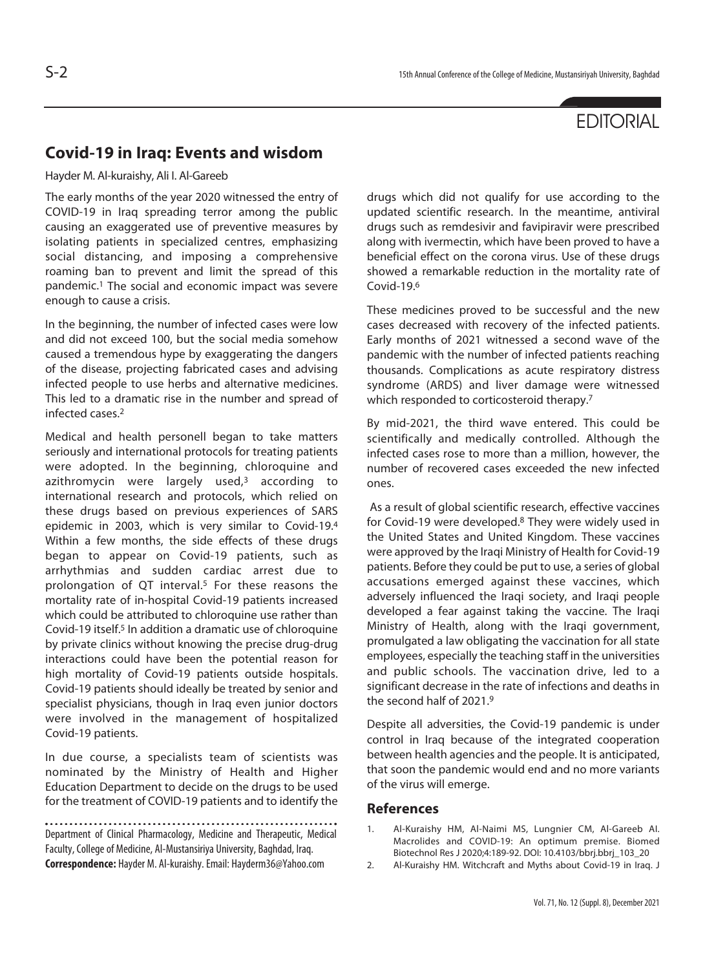## **EDITORIAL**

## **Covid-19 in Iraq: Events and wisdom**

Hayder M. Al-kuraishy, Ali I. Al-Gareeb

The early months of the year 2020 witnessed the entry of COVID-19 in Iraq spreading terror among the public causing an exaggerated use of preventive measures by isolating patients in specialized centres, emphasizing social distancing, and imposing a comprehensive roaming ban to prevent and limit the spread of this pandemic.1 The social and economic impact was severe enough to cause a crisis.

In the beginning, the number of infected cases were low and did not exceed 100, but the social media somehow caused a tremendous hype by exaggerating the dangers of the disease, projecting fabricated cases and advising infected people to use herbs and alternative medicines. This led to a dramatic rise in the number and spread of infected cases.2

Medical and health personell began to take matters seriously and international protocols for treating patients were adopted. In the beginning, chloroquine and azithromycin were largely used,<sup>3</sup> according to international research and protocols, which relied on these drugs based on previous experiences of SARS epidemic in 2003, which is very similar to Covid-19.4 Within a few months, the side effects of these drugs began to appear on Covid-19 patients, such as arrhythmias and sudden cardiac arrest due to prolongation of QT interval.<sup>5</sup> For these reasons the mortality rate of in-hospital Covid-19 patients increased which could be attributed to chloroquine use rather than Covid-19 itself.5 In addition a dramatic use of chloroquine by private clinics without knowing the precise drug-drug interactions could have been the potential reason for high mortality of Covid-19 patients outside hospitals. Covid-19 patients should ideally be treated by senior and specialist physicians, though in Iraq even junior doctors were involved in the management of hospitalized Covid-19 patients.

In due course, a specialists team of scientists was nominated by the Ministry of Health and Higher Education Department to decide on the drugs to be used for the treatment of COVID-19 patients and to identify the

Department of Clinical Pharmacology, Medicine and Therapeutic, Medical Faculty, College of Medicine, Al-Mustansiriya University, Baghdad, Iraq. **Correspondence:** Hayder M. Al-kuraishy. Email: Hayderm36@Yahoo.com

drugs which did not qualify for use according to the updated scientific research. In the meantime, antiviral drugs such as remdesivir and favipiravir were prescribed along with ivermectin, which have been proved to have a beneficial effect on the corona virus. Use of these drugs showed a remarkable reduction in the mortality rate of Covid-19.6

These medicines proved to be successful and the new cases decreased with recovery of the infected patients. Early months of 2021 witnessed a second wave of the pandemic with the number of infected patients reaching thousands. Complications as acute respiratory distress syndrome (ARDS) and liver damage were witnessed which responded to corticosteroid therapy.<sup>7</sup>

By mid-2021, the third wave entered. This could be scientifically and medically controlled. Although the infected cases rose to more than a million, however, the number of recovered cases exceeded the new infected ones.

 As a result of global scientific research, effective vaccines for Covid-19 were developed.8 They were widely used in the United States and United Kingdom. These vaccines were approved by the Iraqi Ministry of Health for Covid-19 patients. Before they could be put to use, a series of global accusations emerged against these vaccines, which adversely influenced the Iraqi society, and Iraqi people developed a fear against taking the vaccine. The Iraqi Ministry of Health, along with the Iraqi government, promulgated a law obligating the vaccination for all state employees, especially the teaching staff in the universities and public schools. The vaccination drive, led to a significant decrease in the rate of infections and deaths in the second half of 2021.9

Despite all adversities, the Covid-19 pandemic is under control in Iraq because of the integrated cooperation between health agencies and the people. It is anticipated, that soon the pandemic would end and no more variants of the virus will emerge.

## **References**

- 1. Al-Kuraishy HM, Al-Naimi MS, Lungnier CM, Al-Gareeb AI. Macrolides and COVID-19: An optimum premise. Biomed Biotechnol Res J 2020;4:189-92. DOI: 10.4103/bbrj.bbrj\_103\_20
- 2. Al-Kuraishy HM. Witchcraft and Myths about Covid-19 in Iraq. J